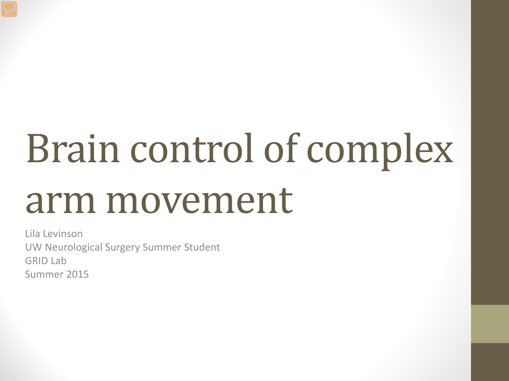# Brain control of complex arm movement

Lila Levinson UW Neurological Surgery Summer Student GRID Lab Summer 2015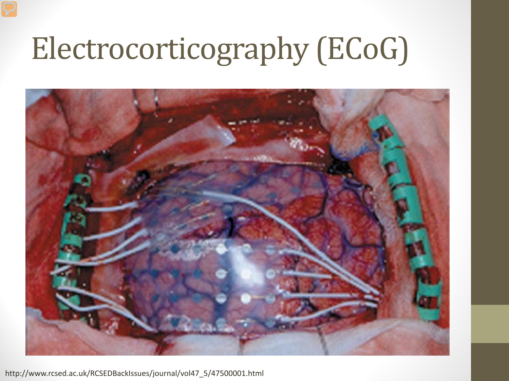### Electrocorticography (ECoG)



http://www.rcsed.ac.uk/RCSEDBackIssues/journal/vol47\_5/47500001.html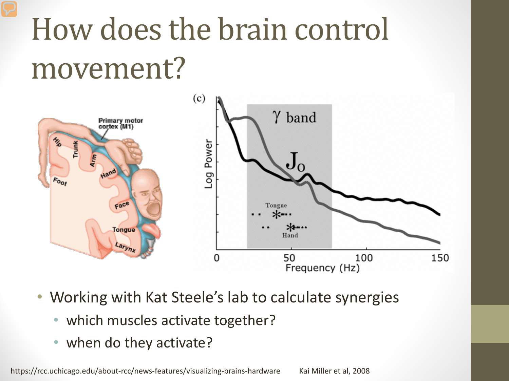# How does the brain control movement?



- Working with Kat Steele's lab to calculate synergies
	- which muscles activate together?
	- when do they activate?

https://rcc.uchicago.edu/about-rcc/news-features/visualizing-brains-hardware Kai Miller et al, 2008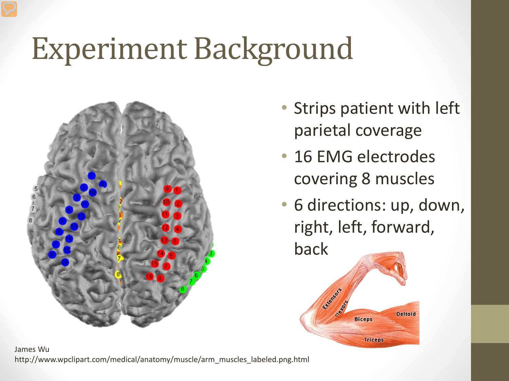## Experiment Background



- Strips patient with left parietal coverage
- 16 EMG electrodes covering 8 muscles
- 6 directions: up, down, right, left, forward, back

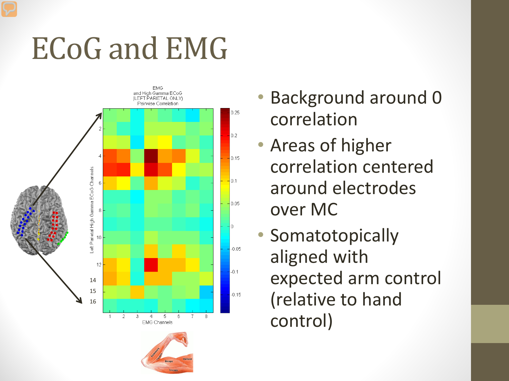### ECoG and EMG



- Background around 0 correlation
- Areas of higher correlation centered around electrodes over MC
- Somatotopically aligned with expected arm control (relative to hand control)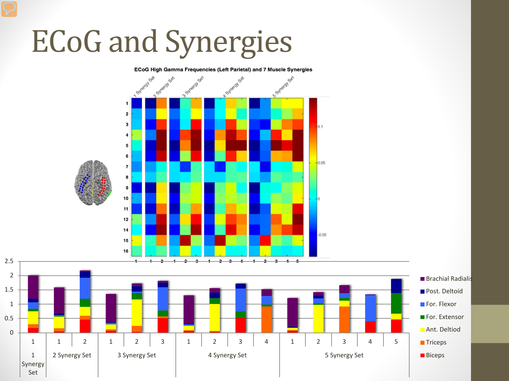# ECoG and Synergies

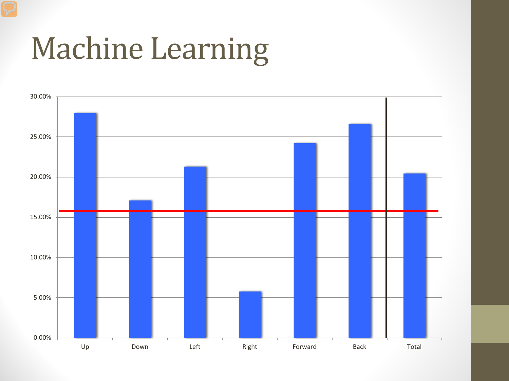#### Machine Learning

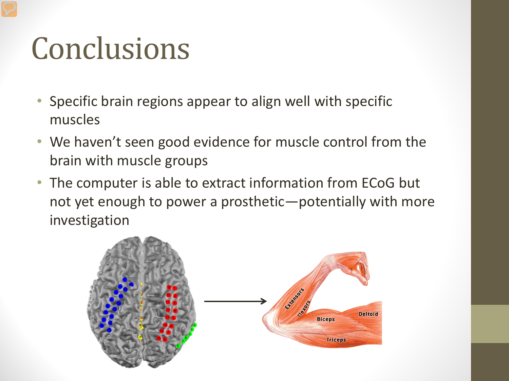### Conclusions

- Specific brain regions appear to align well with specific muscles
- We haven't seen good evidence for muscle control from the brain with muscle groups
- The computer is able to extract information from ECoG but not yet enough to power a prosthetic—potentially with more investigation